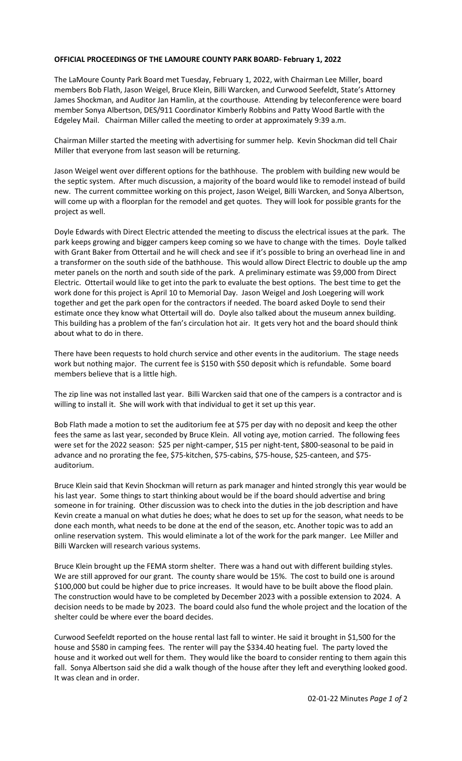## **OFFICIAL PROCEEDINGS OF THE LAMOURE COUNTY PARK BOARD- February 1, 2022**

The LaMoure County Park Board met Tuesday, February 1, 2022, with Chairman Lee Miller, board members Bob Flath, Jason Weigel, Bruce Klein, Billi Warcken, and Curwood Seefeldt, State's Attorney James Shockman, and Auditor Jan Hamlin, at the courthouse. Attending by teleconference were board member Sonya Albertson, DES/911 Coordinator Kimberly Robbins and Patty Wood Bartle with the Edgeley Mail. Chairman Miller called the meeting to order at approximately 9:39 a.m.

Chairman Miller started the meeting with advertising for summer help. Kevin Shockman did tell Chair Miller that everyone from last season will be returning.

Jason Weigel went over different options for the bathhouse. The problem with building new would be the septic system. After much discussion, a majority of the board would like to remodel instead of build new. The current committee working on this project, Jason Weigel, Billi Warcken, and Sonya Albertson, will come up with a floorplan for the remodel and get quotes. They will look for possible grants for the project as well.

Doyle Edwards with Direct Electric attended the meeting to discuss the electrical issues at the park. The park keeps growing and bigger campers keep coming so we have to change with the times. Doyle talked with Grant Baker from Ottertail and he will check and see if it's possible to bring an overhead line in and a transformer on the south side of the bathhouse. This would allow Direct Electric to double up the amp meter panels on the north and south side of the park. A preliminary estimate was \$9,000 from Direct Electric. Ottertail would like to get into the park to evaluate the best options. The best time to get the work done for this project is April 10 to Memorial Day. Jason Weigel and Josh Loegering will work together and get the park open for the contractors if needed. The board asked Doyle to send their estimate once they know what Ottertail will do. Doyle also talked about the museum annex building. This building has a problem of the fan's circulation hot air. It gets very hot and the board should think about what to do in there.

There have been requests to hold church service and other events in the auditorium. The stage needs work but nothing major. The current fee is \$150 with \$50 deposit which is refundable. Some board members believe that is a little high.

The zip line was not installed last year. Billi Warcken said that one of the campers is a contractor and is willing to install it. She will work with that individual to get it set up this year.

Bob Flath made a motion to set the auditorium fee at \$75 per day with no deposit and keep the other fees the same as last year, seconded by Bruce Klein. All voting aye, motion carried. The following fees were set for the 2022 season: \$25 per night-camper, \$15 per night-tent, \$800-seasonal to be paid in advance and no prorating the fee, \$75-kitchen, \$75-cabins, \$75-house, \$25-canteen, and \$75 auditorium.

Bruce Klein said that Kevin Shockman will return as park manager and hinted strongly this year would be his last year. Some things to start thinking about would be if the board should advertise and bring someone in for training. Other discussion was to check into the duties in the job description and have Kevin create a manual on what duties he does; what he does to set up for the season, what needs to be done each month, what needs to be done at the end of the season, etc. Another topic was to add an online reservation system. This would eliminate a lot of the work for the park manger. Lee Miller and Billi Warcken will research various systems.

Bruce Klein brought up the FEMA storm shelter. There was a hand out with different building styles. We are still approved for our grant. The county share would be 15%. The cost to build one is around \$100,000 but could be higher due to price increases. It would have to be built above the flood plain. The construction would have to be completed by December 2023 with a possible extension to 2024. A decision needs to be made by 2023. The board could also fund the whole project and the location of the shelter could be where ever the board decides.

Curwood Seefeldt reported on the house rental last fall to winter. He said it brought in \$1,500 for the house and \$580 in camping fees. The renter will pay the \$334.40 heating fuel. The party loved the house and it worked out well for them. They would like the board to consider renting to them again this fall. Sonya Albertson said she did a walk though of the house after they left and everything looked good. It was clean and in order.